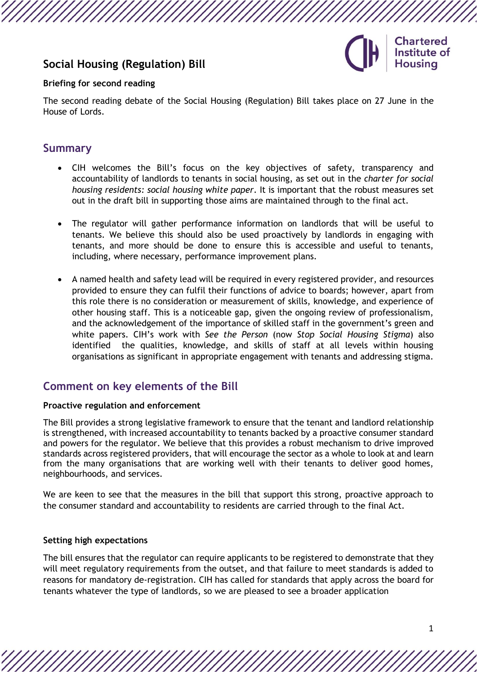# **Social Housing (Regulation) Bill**



#### **Briefing for second reading**

The second reading debate of the [Social Housing \(Regulation\) Bill t](https://bills.parliament.uk/bills/3177)akes place on 27 June in the House of Lords.

### **Summary**

- CIH welcomes the Bill's focus on the key objectives of safety, transparency and accountability of landlords to tenants in social housing, as set out in the *[charter for social](https://www.gov.uk/government/publications/the-charter-for-social-housing-residents-social-housing-white-paper)  [housing residents: social housing white paper](https://www.gov.uk/government/publications/the-charter-for-social-housing-residents-social-housing-white-paper)*. It is important that the robust measures set out in the draft bill in supporting those aims are maintained through to the final act.
- The regulator will gather performance information on landlords that will be useful to tenants. We believe this should also be used proactively by landlords in engaging with tenants, and more should be done to ensure this is accessible and useful to tenants, including, where necessary, performance improvement plans.
- A named health and safety lead will be required in every registered provider, and resources provided to ensure they can fulfil their functions of advice to boards; however, apart from this role there is no consideration or measurement of skills, knowledge, and experience of other housing staff. This is a noticeable gap, given the ongoing review of professionalism, and the acknowledgement of the importance of skilled staff in the government's green and white papers. CIH's [work](https://www.cih.org/publications/its-not-okay-a-guide-to-tackling-stigma-in-social-housing) with *See the Person* (now *Stop Social Housing Stigma*) also identified the qualities, knowledge, and skills of staff at all levels within housing organisations as significant in appropriate engagement with tenants and addressing stigma.

## **Comment on key elements of the Bill**

#### **Proactive regulation and enforcement**

The Bill provides a strong legislative framework to ensure that the tenant and landlord relationship is strengthened, with increased accountability to tenants backed by a proactive consumer standard and powers for the regulator. We believe that this provides a robust mechanism to drive improved standards across registered providers, that will encourage the sector as a whole to look at and learn from the many organisations that are working well with their tenants to deliver good homes, neighbourhoods, and services.

We are keen to see that the measures in the bill that support this strong, proactive approach to the consumer standard and accountability to residents are carried through to the final Act.

#### **Setting high expectations**

The bill ensures that the regulator can require applicants to be registered to demonstrate that they will meet regulatory requirements from the outset, and that failure to meet standards is added to reasons for mandatory de-registration. CIH has called for standards that apply across the board for tenants whatever the type of landlords, so we are pleased to see a broader application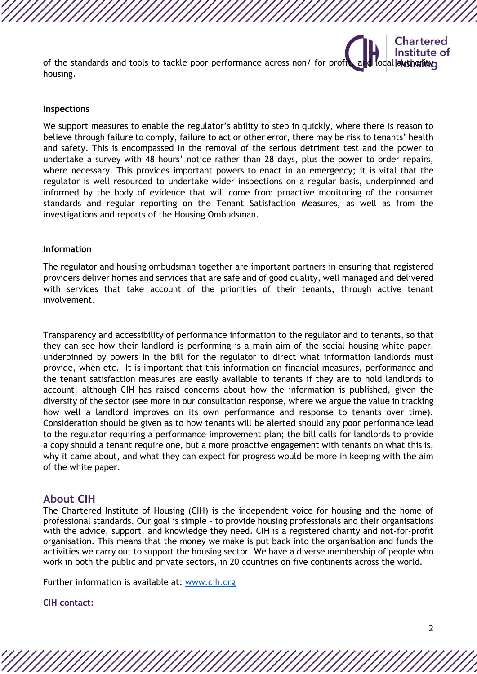Institute of of the standards and tools to tackle poor performance across non/ for profit, and local dust built and housing.

#### **Inspections**

We support measures to enable the regulator's ability to step in quickly, where there is reason to believe through failure to comply, failure to act or other error, there may be risk to tenants' health and safety. This is encompassed in the removal of the serious detriment test and the power to undertake a survey with 48 hours' notice rather than 28 days, plus the power to order repairs, where necessary. This provides important powers to enact in an emergency; it is vital that the regulator is well resourced to undertake wider inspections on a regular basis, underpinned and informed by the body of evidence that will come from proactive monitoring of the consumer standards and regular reporting on the Tenant Satisfaction Measures, as well as from the investigations and reports of the Housing Ombudsman.

#### **Information**

The regulator and housing ombudsman together are important partners in ensuring that registered providers deliver homes and services that are safe and of good quality, well managed and delivered with services that take account of the priorities of their tenants, through active tenant involvement.

Transparency and accessibility of performance information to the regulator and to tenants, so that they can see how their landlord is performing is a main aim of the social housing white paper, underpinned by powers in the bill for the regulator to direct what information landlords must provide, when etc. It is important that this information on financial measures, performance and the tenant satisfaction measures are easily available to tenants if they are to hold landlords to account, although CIH has raised concerns about how the information is published, given the diversity of the sector (see more in our [consultation response,](https://www.cih.org/publications/cih-s-response-to-the-regulator-of-social-housing-s-consultation-on-proposed-tenant-satisfaction-measures) where we argue the value in tracking how well a landlord improves on its own performance and response to tenants over time). Consideration should be given as to how tenants will be alerted should any poor performance lead to the regulator requiring a performance improvement plan; the bill calls for landlords to provide a copy should a tenant require one, but a more proactive engagement with tenants on what this is, why it came about, and what they can expect for progress would be more in keeping with the aim of the white paper.

### **About CIH**

The Chartered Institute of Housing (CIH) is the independent voice for housing and the home of professional standards. Our goal is simple – to provide housing professionals and their organisations with the advice, support, and knowledge they need. CIH is a registered charity and not-for-profit organisation. This means that the money we make is put back into the organisation and funds the activities we carry out to support the housing sector. We have a diverse membership of people who work in both the public and private sectors, in 20 countries on five continents across the world.

Further information is available at: [www.cih.org](https://www.cih.org/)

#### **CIH contact:**

**Chartered**